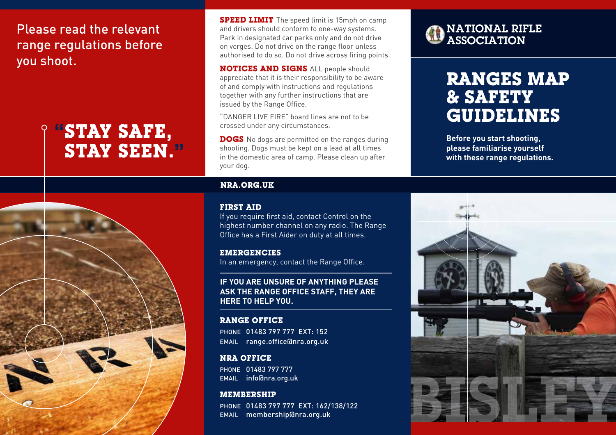Please read the relevant range regulations before you shoot.

# **"STAY SAFE, STAY SEEN."**



**SPEED LIMIT** The speed limit is 15mph on camp and drivers should conform to one-way systems. Park in designated car parks only and do not drive on verges. Do not drive on the range floor unless authorised to do so. Do not drive across firing points.

**NOTICES AND SIGNS** ALL people should appreciate that it is their responsibility to be aware of and comply with instructions and regulations together with any further instructions that are issued by the Range Office.

"DANGER LIVE FIRE" board lines are not to be crossed under any circumstances.

**DOGS** No dogs are permitted on the ranges during shooting. Dogs must be kept on a lead at all times in the domestic area of camp. Please clean up after your dog.

#### **NRA.ORG.UK**

#### **FIRST AID**

If you require first aid, contact Control on the highest number channel on any radio. The Range Office has a First Aider on duty at all times.

## **EMERGENCIES**

In an emergency, contact the Range Office.

**IF YOU ARE UNSURE OF ANYTHING PLEASE ASK THE RANGE OFFICE STAFF, THEY ARE HERE TO HELP YOU.**

## **RANGE OFFICE**

PHONE 01483 797 777 EXT: 152 EMAIL range.office@nra.org.uk

## **NRA OFFICE**

PHONE 01483 797 777 EMAIL info@nra.org.uk

## **MEMBERSHIP**

PHONE 01483 797 777 EXT: 162/138/122 EMAIL membership@nra.org.uk



# **RANGES MAP & SAFETY GUIDELINES**

**Before you start shooting, please familiarise yourself with these range regulations.**

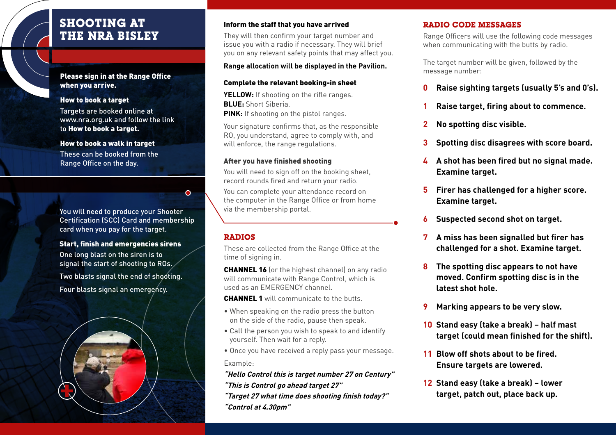## **SHOOTING AT THE NRA BISLEY**

#### Please sign in at the Range Office when you arrive.

#### How to book a target

Targets are booked online at www.nra.org.uk and follow the link to How to book a target.

#### How to book a walk in target

These can be booked from the Range Office on the day.

You will need to produce your Shooter Certification (SCC) Card and membership card when you pay for the target.

#### Start, finish and emergencies sirens

One long blast on the siren is to signal the start of shooting to ROs.

Two blasts signal the end of shooting. Four blasts signal an emergency.



## Inform the staff that you have arrived

They will then confirm your target number and issue you with a radio if necessary. They will brief you on any relevant safety points that may affect you.

## **Range allocation will be displayed in the Pavilion.**

#### Complete the relevant booking-in sheet

**YELLOW:** If shooting on the rifle ranges. **BLUE:** Short Siberia. **PINK:** If shooting on the pistol ranges.

Your signature confirms that, as the responsible RO, you understand, agree to comply with, and will enforce, the range regulations.

#### After you have finished shooting

You will need to sign off on the booking sheet, record rounds fired and return your radio. You can complete your attendance record on the computer in the Range Office or from home via the membership portal.

## **RADIOS**

These are collected from the Range Office at the time of signing in.

CHANNEL 16 (or the highest channel) on any radio will communicate with Range Control, which is used as an EMERGENCY channel.

**CHANNEL 1** will communicate to the butts.

- When speaking on the radio press the button on the side of the radio, pause then speak.
- Call the person you wish to speak to and identify yourself. Then wait for a reply.

• Once you have received a reply pass your message. Example:

**"Hello Control this is target number 27 on Century" "This is Control go ahead target 27"**

**"Target 27 what time does shooting finish today?" "Control at 4.30pm"**

## **RADIO CODE MESSAGES**

Range Officers will use the following code messages when communicating with the butts by radio.

The target number will be given, followed by the message number:

- **0 Raise sighting targets (usually 5's and 0's).**
- **1 Raise target, firing about to commence.**
- **2 No spotting disc visible.**
- **3 Spotting disc disagrees with score board.**
- **4 A shot has been fired but no signal made. Examine target.**
- **5 Firer has challenged for a higher score. Examine target.**
- **6 Suspected second shot on target.**
- **7 A miss has been signalled but firer has challenged for a shot. Examine target.**
- **8 The spotting disc appears to not have moved. Confirm spotting disc is in the latest shot hole.**
- **9 Marking appears to be very slow.**
- **10 Stand easy (take a break) half mast target (could mean finished for the shift).**
- **11 Blow off shots about to be fired. Ensure targets are lowered.**
- **12 Stand easy (take a break) lower target, patch out, place back up.**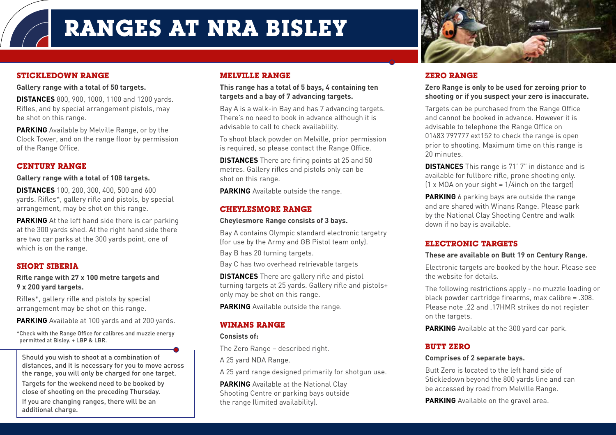## **STICKLEDOWN RANGE**

**Gallery range with a total of 50 targets.**

**DISTANCES** 800, 900, 1000, 1100 and 1200 yards. Rifles, and by special arrangement pistols, may be shot on this range.

**PARKING** Available by Melville Range, or by the Clock Tower, and on the range floor by permission of the Range Office.

## **CENTURY RANGE**

**Gallery range with a total of 108 targets.** 

**DISTANCES** 100, 200, 300, 400, 500 and 600 yards. Rifles\*, gallery rifle and pistols, by special arrangement, may be shot on this range.

**PARKING** At the left hand side there is car parking at the 300 yards shed. At the right hand side there are two car parks at the 300 yards point, one of which is on the range.

## **SHORT SIBERIA**

#### **Rifle range with 27 x 100 metre targets and 9 x 200 yard targets.**

Rifles\*, gallery rifle and pistols by special arrangement may be shot on this range.

**PARKING** Available at 100 yards and at 200 yards.

\*Check with the Range Office for calibres and muzzle energy permitted at Bisley. + LBP & LBR.

Should you wish to shoot at a combination of distances, and it is necessary for you to move across the range, you will only be charged for one target.

Targets for the weekend need to be booked by close of shooting on the preceding Thursday.

If you are changing ranges, there will be an additional charge.

## **MELVILLE RANGE**

#### **This range has a total of 5 bays, 4 containing ten targets and a bay of 7 advancing targets.**

Bay A is a walk-in Bay and has 7 advancing targets. There's no need to book in advance although it is advisable to call to check availability.

To shoot black powder on Melville, prior permission is required, so please contact the Range Office.

**DISTANCES** There are firing points at 25 and 50 metres. Gallery rifles and pistols only can be shot on this range.

**PARKING** Available outside the range.

## **CHEYLESMORE RANGE**

#### **Cheylesmore Range consists of 3 bays.**

Bay A contains Olympic standard electronic targetry (for use by the Army and GB Pistol team only). Bay B has 20 turning targets.

Bay C has two overhead retrievable targets

**DISTANCES** There are gallery rifle and pistol turning targets at 25 yards. Gallery rifle and pistols+ only may be shot on this range.

**PARKING** Available outside the range.

## **WINANS RANGE**

#### **Consists of:**

The Zero Range – described right.

A 25 yard NDA Range.

A 25 yard range designed primarily for shotgun use.

**PARKING** Available at the National Clay Shooting Centre or parking bays outside the range (limited availability).



## **ZERO RANGE**

## **Zero Range is only to be used for zeroing prior to shooting or if you suspect your zero is inaccurate.**

Targets can be purchased from the Range Office and cannot be booked in advance. However it is advisable to telephone the Range Office on 01483 797777 ext152 to check the range is open prior to shooting. Maximum time on this range is 20 minutes.

**DISTANCES** This range is 71' 7" in distance and is available for fullbore rifle, prone shooting only.  $(1 \times MOA$  on your sight =  $1/4$ inch on the target)

**PARKING** 6 parking bays are outside the range and are shared with Winans Range. Please park by the National Clay Shooting Centre and walk down if no bay is available.

## **ELECTRONIC TARGETS**

## **These are available on Butt 19 on Century Range.**

Electronic targets are booked by the hour. Please see the website for details.

The following restrictions apply - no muzzle loading or black powder cartridge firearms, max calibre = .308. Please note .22 and .17HMR strikes do not register on the targets.

**PARKING** Available at the 300 yard car park.

## **BUTT ZERO**

## **Comprises of 2 separate bays.**

Butt Zero is located to the left hand side of Stickledown beyond the 800 yards line and can be accessed by road from Melville Range.

**PARKING** Available on the gravel area.